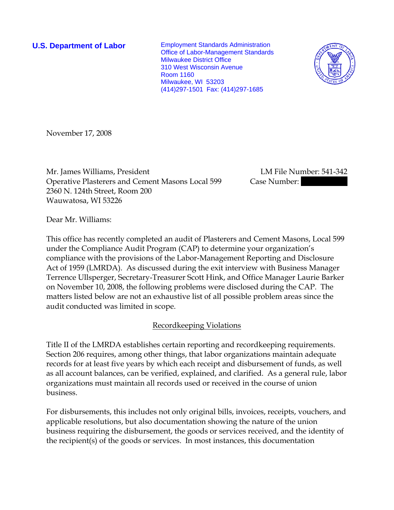**U.S. Department of Labor** Employment Standards Administration Office of Labor-Management Standards Milwaukee District Office 310 West Wisconsin Avenue Room 1160 Milwaukee, WI 53203 (414)297-1501 Fax: (414)297-1685



November 17, 2008

Mr. James Williams, President LM File Number: 541-342 Operative Plasterers and Cement Masons Local 599 Case Number: 2360 N. 124th Street, Room 200 Wauwatosa, WI 53226

Dear Mr. Williams:

This office has recently completed an audit of Plasterers and Cement Masons, Local 599 under the Compliance Audit Program (CAP) to determine your organization's compliance with the provisions of the Labor-Management Reporting and Disclosure Act of 1959 (LMRDA). As discussed during the exit interview with Business Manager Terrence Ullsperger, Secretary-Treasurer Scott Hink, and Office Manager Laurie Barker on November 10, 2008, the following problems were disclosed during the CAP. The matters listed below are not an exhaustive list of all possible problem areas since the audit conducted was limited in scope.

## Recordkeeping Violations

Title II of the LMRDA establishes certain reporting and recordkeeping requirements. Section 206 requires, among other things, that labor organizations maintain adequate records for at least five years by which each receipt and disbursement of funds, as well as all account balances, can be verified, explained, and clarified. As a general rule, labor organizations must maintain all records used or received in the course of union business.

For disbursements, this includes not only original bills, invoices, receipts, vouchers, and applicable resolutions, but also documentation showing the nature of the union business requiring the disbursement, the goods or services received, and the identity of the recipient(s) of the goods or services. In most instances, this documentation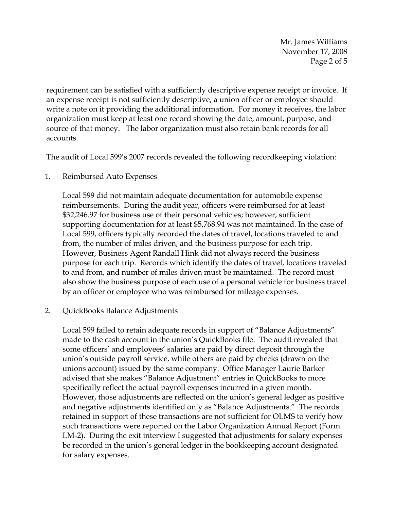Mr. James Williams November 17, 2008 Page 2 of 5

requirement can be satisfied with a sufficiently descriptive expense receipt or invoice. If an expense receipt is not sufficiently descriptive, a union officer or employee should write a note on it providing the additional information. For money it receives, the labor organization must keep at least one record showing the date, amount, purpose, and source of that money. The labor organization must also retain bank records for all accounts.

The audit of Local 599's 2007 records revealed the following recordkeeping violation:

1. Reimbursed Auto Expenses

Local 599 did not maintain adequate documentation for automobile expense reimbursements. During the audit year, officers were reimbursed for at least \$32,246.97 for business use of their personal vehicles; however, sufficient supporting documentation for at least \$5,768.94 was not maintained. In the case of Local 599, officers typically recorded the dates of travel, locations traveled to and from, the number of miles driven, and the business purpose for each trip. However, Business Agent Randall Hink did not always record the business purpose for each trip. Records which identify the dates of travel, locations traveled to and from, and number of miles driven must be maintained. The record must also show the business purpose of each use of a personal vehicle for business travel by an officer or employee who was reimbursed for mileage expenses.

2. QuickBooks Balance Adjustments

Local 599 failed to retain adequate records in support of "Balance Adjustments" made to the cash account in the union's QuickBooks file. The audit revealed that some officers' and employees' salaries are paid by direct deposit through the union's outside payroll service, while others are paid by checks (drawn on the unions account) issued by the same company. Office Manager Laurie Barker advised that she makes "Balance Adjustment" entries in QuickBooks to more specifically reflect the actual payroll expenses incurred in a given month. However, those adjustments are reflected on the union's general ledger as positive and negative adjustments identified only as "Balance Adjustments." The records retained in support of these transactions are not sufficient for OLMS to verify how such transactions were reported on the Labor Organization Annual Report (Form LM-2). During the exit interview I suggested that adjustments for salary expenses be recorded in the union's general ledger in the bookkeeping account designated for salary expenses.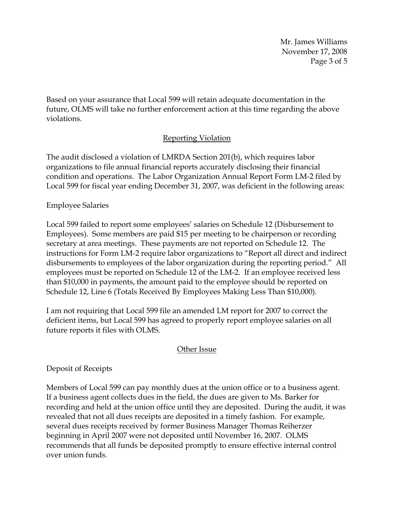Mr. James Williams November 17, 2008 Page 3 of 5

Based on your assurance that Local 599 will retain adequate documentation in the future, OLMS will take no further enforcement action at this time regarding the above violations.

# Reporting Violation

The audit disclosed a violation of LMRDA Section 201(b), which requires labor organizations to file annual financial reports accurately disclosing their financial condition and operations. The Labor Organization Annual Report Form LM-2 filed by Local 599 for fiscal year ending December 31, 2007, was deficient in the following areas:

## Employee Salaries

Local 599 failed to report some employees' salaries on Schedule 12 (Disbursement to Employees). Some members are paid \$15 per meeting to be chairperson or recording secretary at area meetings. These payments are not reported on Schedule 12. The instructions for Form LM-2 require labor organizations to "Report all direct and indirect disbursements to employees of the labor organization during the reporting period." All employees must be reported on Schedule 12 of the LM-2. If an employee received less than \$10,000 in payments, the amount paid to the employee should be reported on Schedule 12, Line 6 (Totals Received By Employees Making Less Than \$10,000).

I am not requiring that Local 599 file an amended LM report for 2007 to correct the deficient items, but Local 599 has agreed to properly report employee salaries on all future reports it files with OLMS.

## Other Issue

## Deposit of Receipts

Members of Local 599 can pay monthly dues at the union office or to a business agent. If a business agent collects dues in the field, the dues are given to Ms. Barker for recording and held at the union office until they are deposited. During the audit, it was revealed that not all dues receipts are deposited in a timely fashion. For example, several dues receipts received by former Business Manager Thomas Reiherzer beginning in April 2007 were not deposited until November 16, 2007. OLMS recommends that all funds be deposited promptly to ensure effective internal control over union funds.